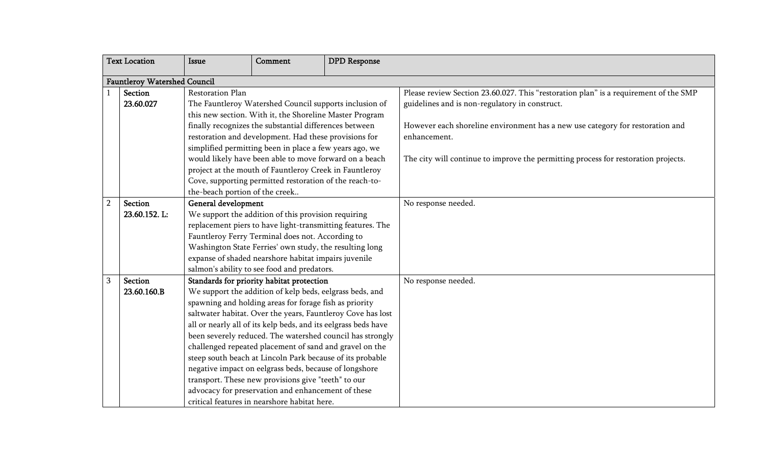| <b>Text Location</b>                |                             | <b>Issue</b>                                                                                                                                                                                                                                                                                                                                                                                                                                                                                                                                                                                                                                                                                                 | Comment                                                                                                                                                                     | <b>DPD</b> Response |                                                                                                                                        |  |
|-------------------------------------|-----------------------------|--------------------------------------------------------------------------------------------------------------------------------------------------------------------------------------------------------------------------------------------------------------------------------------------------------------------------------------------------------------------------------------------------------------------------------------------------------------------------------------------------------------------------------------------------------------------------------------------------------------------------------------------------------------------------------------------------------------|-----------------------------------------------------------------------------------------------------------------------------------------------------------------------------|---------------------|----------------------------------------------------------------------------------------------------------------------------------------|--|
| <b>Fauntleroy Watershed Council</b> |                             |                                                                                                                                                                                                                                                                                                                                                                                                                                                                                                                                                                                                                                                                                                              |                                                                                                                                                                             |                     |                                                                                                                                        |  |
|                                     | <b>Section</b><br>23.60.027 | <b>Restoration Plan</b><br>The Fauntleroy Watershed Council supports inclusion of<br>this new section. With it, the Shoreline Master Program                                                                                                                                                                                                                                                                                                                                                                                                                                                                                                                                                                 |                                                                                                                                                                             |                     | Please review Section 23.60.027. This "restoration plan" is a requirement of the SMP<br>guidelines and is non-regulatory in construct. |  |
|                                     |                             | finally recognizes the substantial differences between<br>restoration and development. Had these provisions for<br>simplified permitting been in place a few years ago, we                                                                                                                                                                                                                                                                                                                                                                                                                                                                                                                                   |                                                                                                                                                                             |                     | However each shoreline environment has a new use category for restoration and<br>enhancement.                                          |  |
|                                     |                             | the-beach portion of the creek                                                                                                                                                                                                                                                                                                                                                                                                                                                                                                                                                                                                                                                                               | would likely have been able to move forward on a beach<br>project at the mouth of Fauntleroy Creek in Fauntleroy<br>Cove, supporting permitted restoration of the reach-to- |                     | The city will continue to improve the permitting process for restoration projects.                                                     |  |
| $\overline{2}$                      | Section<br>23.60.152.L:     | General development<br>We support the addition of this provision requiring<br>replacement piers to have light-transmitting features. The<br>Fauntleroy Ferry Terminal does not. According to<br>Washington State Ferries' own study, the resulting long<br>expanse of shaded nearshore habitat impairs juvenile<br>salmon's ability to see food and predators.                                                                                                                                                                                                                                                                                                                                               |                                                                                                                                                                             |                     | No response needed.                                                                                                                    |  |
| 3                                   | Section<br>23.60.160.B      | Standards for priority habitat protection<br>We support the addition of kelp beds, eelgrass beds, and<br>spawning and holding areas for forage fish as priority<br>saltwater habitat. Over the years, Fauntleroy Cove has lost<br>all or nearly all of its kelp beds, and its eelgrass beds have<br>been severely reduced. The watershed council has strongly<br>challenged repeated placement of sand and gravel on the<br>steep south beach at Lincoln Park because of its probable<br>negative impact on eelgrass beds, because of longshore<br>transport. These new provisions give "teeth" to our<br>advocacy for preservation and enhancement of these<br>critical features in nearshore habitat here. |                                                                                                                                                                             |                     | No response needed.                                                                                                                    |  |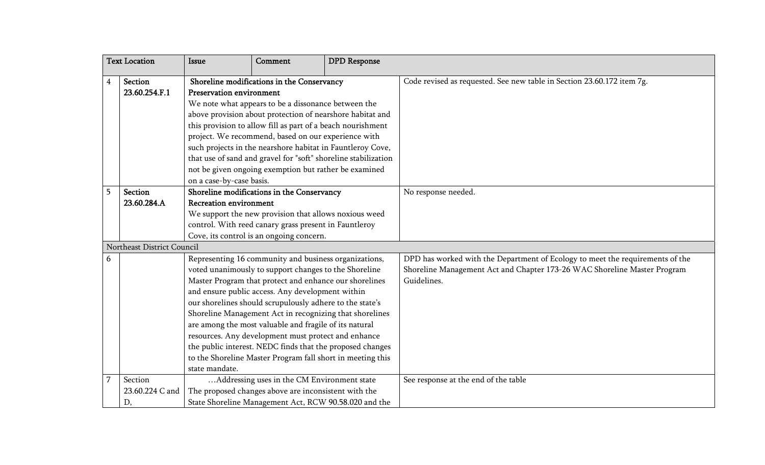| <b>Text Location</b> |                                  | Issue                                                                                                                                                                                                                                                                                                                                                                                                                                                                                                                                                                                                             | Comment                                                                                                                                                                                                  | <b>DPD</b> Response |                                                                                                                                                                          |
|----------------------|----------------------------------|-------------------------------------------------------------------------------------------------------------------------------------------------------------------------------------------------------------------------------------------------------------------------------------------------------------------------------------------------------------------------------------------------------------------------------------------------------------------------------------------------------------------------------------------------------------------------------------------------------------------|----------------------------------------------------------------------------------------------------------------------------------------------------------------------------------------------------------|---------------------|--------------------------------------------------------------------------------------------------------------------------------------------------------------------------|
| 4                    | Section<br>23.60.254.F.1         | Shoreline modifications in the Conservancy<br>Preservation environment<br>We note what appears to be a dissonance between the<br>above provision about protection of nearshore habitat and<br>this provision to allow fill as part of a beach nourishment<br>project. We recommend, based on our experience with                                                                                                                                                                                                                                                                                                  |                                                                                                                                                                                                          |                     | Code revised as requested. See new table in Section 23.60.172 item 7g.                                                                                                   |
|                      |                                  | such projects in the nearshore habitat in Fauntleroy Cove,<br>that use of sand and gravel for "soft" shoreline stabilization<br>not be given ongoing exemption but rather be examined<br>on a case-by-case basis.                                                                                                                                                                                                                                                                                                                                                                                                 |                                                                                                                                                                                                          |                     |                                                                                                                                                                          |
| 5                    | Section<br>23.60.284.A           | <b>Recreation environment</b>                                                                                                                                                                                                                                                                                                                                                                                                                                                                                                                                                                                     | Shoreline modifications in the Conservancy<br>We support the new provision that allows noxious weed<br>control. With reed canary grass present in Fauntleroy<br>Cove, its control is an ongoing concern. |                     | No response needed.                                                                                                                                                      |
|                      | Northeast District Council       |                                                                                                                                                                                                                                                                                                                                                                                                                                                                                                                                                                                                                   |                                                                                                                                                                                                          |                     |                                                                                                                                                                          |
| 6                    |                                  | Representing 16 community and business organizations,<br>voted unanimously to support changes to the Shoreline<br>Master Program that protect and enhance our shorelines<br>and ensure public access. Any development within<br>our shorelines should scrupulously adhere to the state's<br>Shoreline Management Act in recognizing that shorelines<br>are among the most valuable and fragile of its natural<br>resources. Any development must protect and enhance<br>the public interest. NEDC finds that the proposed changes<br>to the Shoreline Master Program fall short in meeting this<br>state mandate. |                                                                                                                                                                                                          |                     | DPD has worked with the Department of Ecology to meet the requirements of the<br>Shoreline Management Act and Chapter 173-26 WAC Shoreline Master Program<br>Guidelines. |
|                      | Section<br>23.60.224 C and<br>D, | Addressing uses in the CM Environment state<br>The proposed changes above are inconsistent with the<br>State Shoreline Management Act, RCW 90.58.020 and the                                                                                                                                                                                                                                                                                                                                                                                                                                                      |                                                                                                                                                                                                          |                     | See response at the end of the table                                                                                                                                     |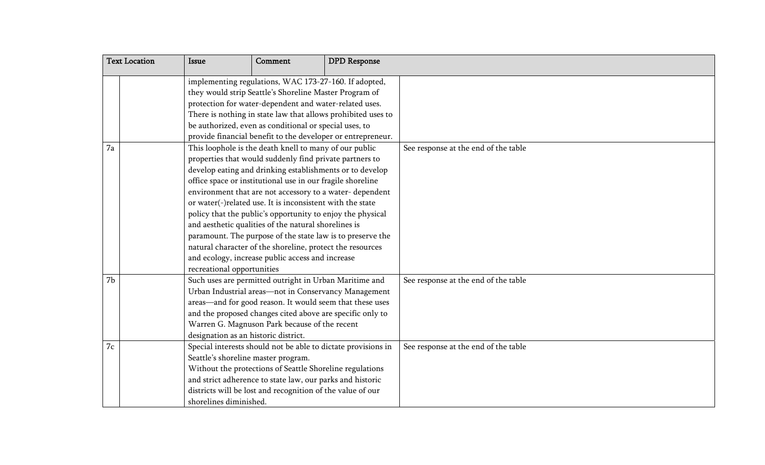| <b>Text Location</b>                                                                                               | Issue                                                                                                                                                                               | Comment                                                      | <b>DPD</b> Response |                                      |
|--------------------------------------------------------------------------------------------------------------------|-------------------------------------------------------------------------------------------------------------------------------------------------------------------------------------|--------------------------------------------------------------|---------------------|--------------------------------------|
|                                                                                                                    | implementing regulations, WAC 173-27-160. If adopted,                                                                                                                               |                                                              |                     |                                      |
|                                                                                                                    | they would strip Seattle's Shoreline Master Program of                                                                                                                              |                                                              |                     |                                      |
|                                                                                                                    |                                                                                                                                                                                     | protection for water-dependent and water-related uses.       |                     |                                      |
|                                                                                                                    |                                                                                                                                                                                     | There is nothing in state law that allows prohibited uses to |                     |                                      |
|                                                                                                                    |                                                                                                                                                                                     | be authorized, even as conditional or special uses, to       |                     |                                      |
|                                                                                                                    | provide financial benefit to the developer or entrepreneur.                                                                                                                         |                                                              |                     |                                      |
|                                                                                                                    | 7a<br>This loophole is the death knell to many of our public                                                                                                                        |                                                              |                     | See response at the end of the table |
|                                                                                                                    | properties that would suddenly find private partners to<br>develop eating and drinking establishments or to develop<br>office space or institutional use in our fragile shoreline   |                                                              |                     |                                      |
|                                                                                                                    |                                                                                                                                                                                     |                                                              |                     |                                      |
|                                                                                                                    |                                                                                                                                                                                     |                                                              |                     |                                      |
|                                                                                                                    | environment that are not accessory to a water-dependent                                                                                                                             |                                                              |                     |                                      |
|                                                                                                                    | or water(-)related use. It is inconsistent with the state<br>policy that the public's opportunity to enjoy the physical                                                             |                                                              |                     |                                      |
|                                                                                                                    |                                                                                                                                                                                     |                                                              |                     |                                      |
| and aesthetic qualities of the natural shorelines is<br>paramount. The purpose of the state law is to preserve the |                                                                                                                                                                                     |                                                              |                     |                                      |
|                                                                                                                    |                                                                                                                                                                                     |                                                              |                     |                                      |
|                                                                                                                    | natural character of the shoreline, protect the resources<br>and ecology, increase public access and increase<br>recreational opportunities                                         |                                                              |                     |                                      |
|                                                                                                                    |                                                                                                                                                                                     |                                                              |                     |                                      |
|                                                                                                                    |                                                                                                                                                                                     |                                                              |                     |                                      |
| 7b                                                                                                                 | Such uses are permitted outright in Urban Maritime and                                                                                                                              |                                                              |                     | See response at the end of the table |
|                                                                                                                    | Urban Industrial areas-not in Conservancy Management                                                                                                                                |                                                              |                     |                                      |
|                                                                                                                    |                                                                                                                                                                                     | areas—and for good reason. It would seem that these uses     |                     |                                      |
|                                                                                                                    | and the proposed changes cited above are specific only to                                                                                                                           |                                                              |                     |                                      |
|                                                                                                                    |                                                                                                                                                                                     | Warren G. Magnuson Park because of the recent                |                     |                                      |
|                                                                                                                    | designation as an historic district.                                                                                                                                                |                                                              |                     |                                      |
| 7c                                                                                                                 | Special interests should not be able to dictate provisions in                                                                                                                       |                                                              |                     | See response at the end of the table |
|                                                                                                                    | Seattle's shoreline master program.                                                                                                                                                 |                                                              |                     |                                      |
|                                                                                                                    | Without the protections of Seattle Shoreline regulations<br>and strict adherence to state law, our parks and historic<br>districts will be lost and recognition of the value of our |                                                              |                     |                                      |
|                                                                                                                    |                                                                                                                                                                                     |                                                              |                     |                                      |
|                                                                                                                    |                                                                                                                                                                                     |                                                              |                     |                                      |
| shorelines diminished.                                                                                             |                                                                                                                                                                                     |                                                              |                     |                                      |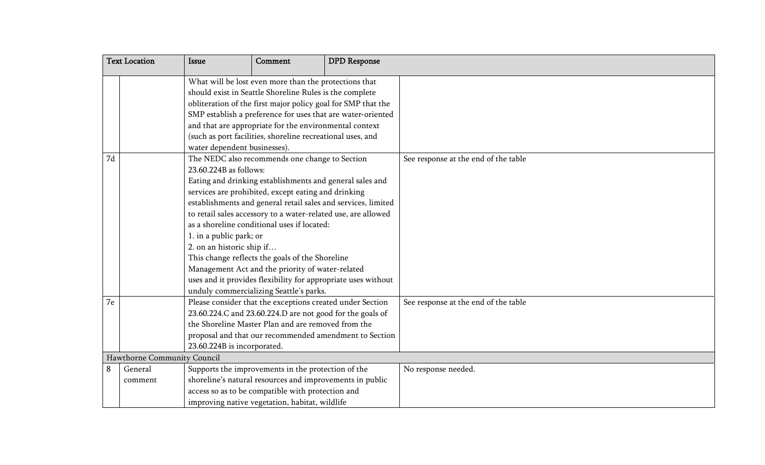| <b>Text Location</b>                                                              |         | <b>Issue</b>                                                                                                                                                                                                                                                                                                                                                                                                                                                                                                                                                                                                                                            | Comment                                                  | <b>DPD</b> Response |                                      |
|-----------------------------------------------------------------------------------|---------|---------------------------------------------------------------------------------------------------------------------------------------------------------------------------------------------------------------------------------------------------------------------------------------------------------------------------------------------------------------------------------------------------------------------------------------------------------------------------------------------------------------------------------------------------------------------------------------------------------------------------------------------------------|----------------------------------------------------------|---------------------|--------------------------------------|
|                                                                                   |         | What will be lost even more than the protections that<br>should exist in Seattle Shoreline Rules is the complete<br>obliteration of the first major policy goal for SMP that the<br>SMP establish a preference for uses that are water-oriented<br>and that are appropriate for the environmental context<br>(such as port facilities, shoreline recreational uses, and<br>water dependent businesses).                                                                                                                                                                                                                                                 |                                                          |                     |                                      |
| 7d                                                                                |         | The NEDC also recommends one change to Section<br>23.60.224B as follows:<br>Eating and drinking establishments and general sales and<br>services are prohibited, except eating and drinking<br>establishments and general retail sales and services, limited<br>to retail sales accessory to a water-related use, are allowed<br>as a shoreline conditional uses if located:<br>1. in a public park; or<br>2. on an historic ship if<br>This change reflects the goals of the Shoreline<br>Management Act and the priority of water-related<br>uses and it provides flexibility for appropriate uses without<br>unduly commercializing Seattle's parks. |                                                          |                     | See response at the end of the table |
| 7e                                                                                |         | Please consider that the exceptions created under Section<br>23.60.224.C and 23.60.224.D are not good for the goals of<br>the Shoreline Master Plan and are removed from the<br>proposal and that our recommended amendment to Section<br>23.60.224B is incorporated.                                                                                                                                                                                                                                                                                                                                                                                   |                                                          |                     | See response at the end of the table |
| Hawthorne Community Council<br>Supports the improvements in the protection of the |         |                                                                                                                                                                                                                                                                                                                                                                                                                                                                                                                                                                                                                                                         |                                                          |                     |                                      |
| 8                                                                                 | General |                                                                                                                                                                                                                                                                                                                                                                                                                                                                                                                                                                                                                                                         | shoreline's natural resources and improvements in public |                     | No response needed.                  |
|                                                                                   | comment |                                                                                                                                                                                                                                                                                                                                                                                                                                                                                                                                                                                                                                                         |                                                          |                     |                                      |
|                                                                                   |         | access so as to be compatible with protection and<br>improving native vegetation, habitat, wildlife                                                                                                                                                                                                                                                                                                                                                                                                                                                                                                                                                     |                                                          |                     |                                      |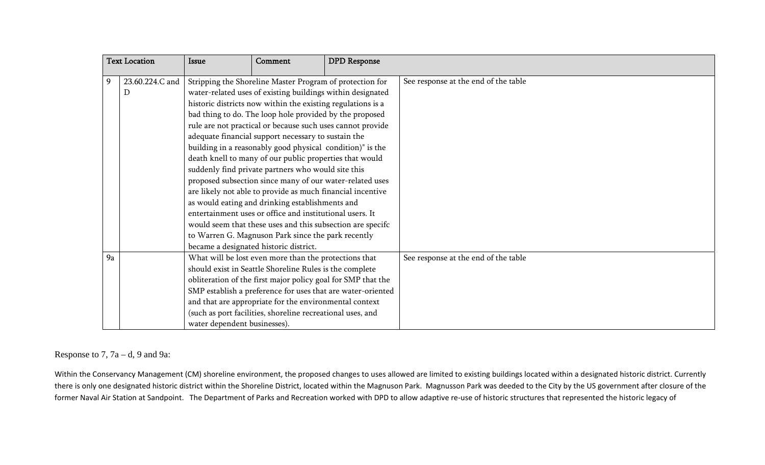|    | <b>Text Location</b> | Issue                                                                                                                                                                                                                                                                                                                                                                                                                                                                                                                                                                                                                                                                                                                                                                                                                                                                                                            | Comment | <b>DPD</b> Response |                                      |
|----|----------------------|------------------------------------------------------------------------------------------------------------------------------------------------------------------------------------------------------------------------------------------------------------------------------------------------------------------------------------------------------------------------------------------------------------------------------------------------------------------------------------------------------------------------------------------------------------------------------------------------------------------------------------------------------------------------------------------------------------------------------------------------------------------------------------------------------------------------------------------------------------------------------------------------------------------|---------|---------------------|--------------------------------------|
| 9  | 23.60.224.C and<br>D | Stripping the Shoreline Master Program of protection for<br>water-related uses of existing buildings within designated<br>historic districts now within the existing regulations is a<br>bad thing to do. The loop hole provided by the proposed<br>rule are not practical or because such uses cannot provide<br>adequate financial support necessary to sustain the<br>building in a reasonably good physical condition)" is the<br>death knell to many of our public properties that would<br>suddenly find private partners who would site this<br>proposed subsection since many of our water-related uses<br>are likely not able to provide as much financial incentive<br>as would eating and drinking establishments and<br>entertainment uses or office and institutional users. It<br>would seem that these uses and this subsection are specifc<br>to Warren G. Magnuson Park since the park recently |         |                     | See response at the end of the table |
| 9a |                      | What will be lost even more than the protections that<br>should exist in Seattle Shoreline Rules is the complete<br>obliteration of the first major policy goal for SMP that the<br>SMP establish a preference for uses that are water-oriented<br>and that are appropriate for the environmental context<br>(such as port facilities, shoreline recreational uses, and<br>water dependent businesses).                                                                                                                                                                                                                                                                                                                                                                                                                                                                                                          |         |                     | See response at the end of the table |

Response to 7,  $7a - d$ , 9 and 9a:

Within the Conservancy Management (CM) shoreline environment, the proposed changes to uses allowed are limited to existing buildings located within a designated historic district. Currently there is only one designated historic district within the Shoreline District, located within the Magnuson Park. Magnusson Park was deeded to the City by the US government after closure of the former Naval Air Station at Sandpoint. The Department of Parks and Recreation worked with DPD to allow adaptive re‐use of historic structures that represented the historic legacy of